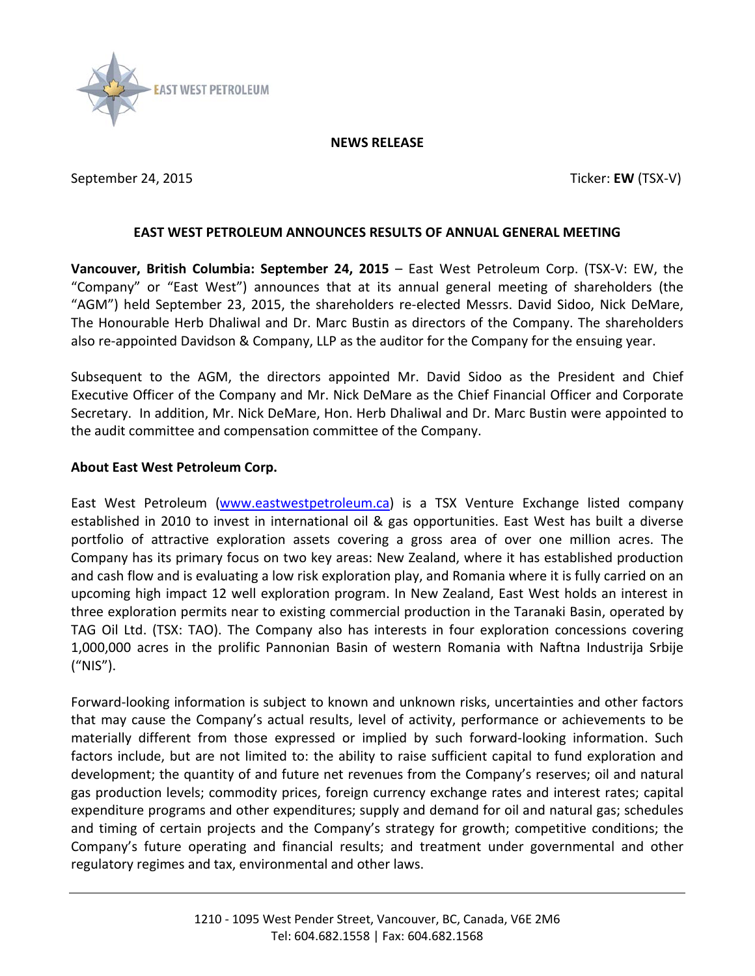

## **NEWS RELEASE**

September 24, 2015 **Ticker: EW** (TSX-V)

## **EAST WEST PETROLEUM ANNOUNCES RESULTS OF ANNUAL GENERAL MEETING**

**Vancouver, British Columbia: September 24, 2015** – East West Petroleum Corp. (TSX-V: EW, the "Company" or "East West") announces that at its annual general meeting of shareholders (the "AGM") held September 23, 2015, the shareholders re-elected Messrs. David Sidoo, Nick DeMare, The Honourable Herb Dhaliwal and Dr. Marc Bustin as directors of the Company. The shareholders also re-appointed Davidson & Company, LLP as the auditor for the Company for the ensuing year.

Subsequent to the AGM, the directors appointed Mr. David Sidoo as the President and Chief Executive Officer of the Company and Mr. Nick DeMare as the Chief Financial Officer and Corporate Secretary. In addition, Mr. Nick DeMare, Hon. Herb Dhaliwal and Dr. Marc Bustin were appointed to the audit committee and compensation committee of the Company.

## **About East West Petroleum Corp.**

East West Petroleum [\(www.eastwestpetroleum.ca\)](http://www.eastwestpetroleum.ca/) is a TSX Venture Exchange listed company established in 2010 to invest in international oil & gas opportunities. East West has built a diverse portfolio of attractive exploration assets covering a gross area of over one million acres. The Company has its primary focus on two key areas: New Zealand, where it has established production and cash flow and is evaluating a low risk exploration play, and Romania where it is fully carried on an upcoming high impact 12 well exploration program. In New Zealand, East West holds an interest in three exploration permits near to existing commercial production in the Taranaki Basin, operated by TAG Oil Ltd. (TSX: TAO). The Company also has interests in four exploration concessions covering 1,000,000 acres in the prolific Pannonian Basin of western Romania with Naftna Industrija Srbije ("NIS").

Forward-looking information is subject to known and unknown risks, uncertainties and other factors that may cause the Company's actual results, level of activity, performance or achievements to be materially different from those expressed or implied by such forward-looking information. Such factors include, but are not limited to: the ability to raise sufficient capital to fund exploration and development; the quantity of and future net revenues from the Company's reserves; oil and natural gas production levels; commodity prices, foreign currency exchange rates and interest rates; capital expenditure programs and other expenditures; supply and demand for oil and natural gas; schedules and timing of certain projects and the Company's strategy for growth; competitive conditions; the Company's future operating and financial results; and treatment under governmental and other regulatory regimes and tax, environmental and other laws.